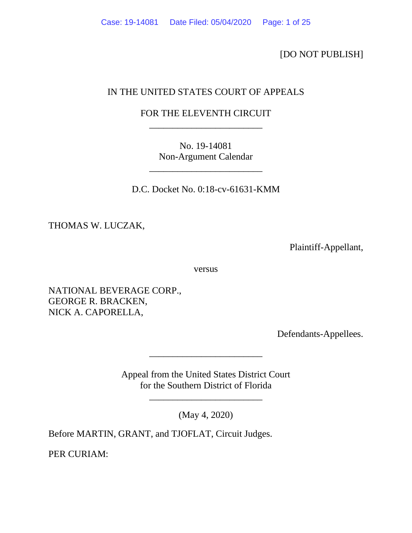[DO NOT PUBLISH]

# IN THE UNITED STATES COURT OF APPEALS

# FOR THE ELEVENTH CIRCUIT \_\_\_\_\_\_\_\_\_\_\_\_\_\_\_\_\_\_\_\_\_\_\_\_

No. 19-14081 Non-Argument Calendar

\_\_\_\_\_\_\_\_\_\_\_\_\_\_\_\_\_\_\_\_\_\_\_\_

D.C. Docket No. 0:18-cv-61631-KMM

THOMAS W. LUCZAK,

Plaintiff-Appellant,

versus

NATIONAL BEVERAGE CORP., GEORGE R. BRACKEN, NICK A. CAPORELLA,

Defendants-Appellees.

Appeal from the United States District Court for the Southern District of Florida

\_\_\_\_\_\_\_\_\_\_\_\_\_\_\_\_\_\_\_\_\_\_\_\_

(May 4, 2020)

\_\_\_\_\_\_\_\_\_\_\_\_\_\_\_\_\_\_\_\_\_\_\_\_

Before MARTIN, GRANT, and TJOFLAT, Circuit Judges.

PER CURIAM: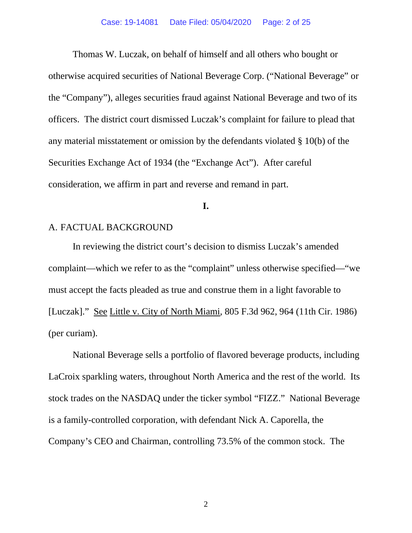Thomas W. Luczak, on behalf of himself and all others who bought or otherwise acquired securities of National Beverage Corp. ("National Beverage" or the "Company"), alleges securities fraud against National Beverage and two of its officers. The district court dismissed Luczak's complaint for failure to plead that any material misstatement or omission by the defendants violated § 10(b) of the Securities Exchange Act of 1934 (the "Exchange Act"). After careful consideration, we affirm in part and reverse and remand in part.

#### **I.**

# A. FACTUAL BACKGROUND

In reviewing the district court's decision to dismiss Luczak's amended complaint—which we refer to as the "complaint" unless otherwise specified—"we must accept the facts pleaded as true and construe them in a light favorable to [Luczak]." See Little v. City of North Miami, 805 F.3d 962, 964 (11th Cir. 1986) (per curiam).

National Beverage sells a portfolio of flavored beverage products, including LaCroix sparkling waters, throughout North America and the rest of the world. Its stock trades on the NASDAQ under the ticker symbol "FIZZ." National Beverage is a family-controlled corporation, with defendant Nick A. Caporella, the Company's CEO and Chairman, controlling 73.5% of the common stock. The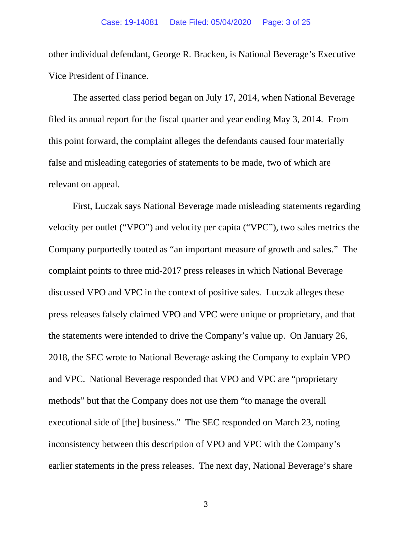other individual defendant, George R. Bracken, is National Beverage's Executive Vice President of Finance.

The asserted class period began on July 17, 2014, when National Beverage filed its annual report for the fiscal quarter and year ending May 3, 2014. From this point forward, the complaint alleges the defendants caused four materially false and misleading categories of statements to be made, two of which are relevant on appeal.

First, Luczak says National Beverage made misleading statements regarding velocity per outlet ("VPO") and velocity per capita ("VPC"), two sales metrics the Company purportedly touted as "an important measure of growth and sales." The complaint points to three mid-2017 press releases in which National Beverage discussed VPO and VPC in the context of positive sales. Luczak alleges these press releases falsely claimed VPO and VPC were unique or proprietary, and that the statements were intended to drive the Company's value up. On January 26, 2018, the SEC wrote to National Beverage asking the Company to explain VPO and VPC. National Beverage responded that VPO and VPC are "proprietary methods" but that the Company does not use them "to manage the overall executional side of [the] business." The SEC responded on March 23, noting inconsistency between this description of VPO and VPC with the Company's earlier statements in the press releases. The next day, National Beverage's share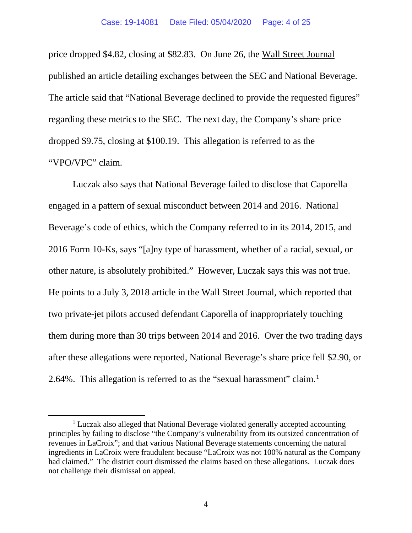price dropped \$4.82, closing at \$82.83. On June 26, the Wall Street Journal published an article detailing exchanges between the SEC and National Beverage. The article said that "National Beverage declined to provide the requested figures" regarding these metrics to the SEC. The next day, the Company's share price dropped \$9.75, closing at \$100.19. This allegation is referred to as the "VPO/VPC" claim.

Luczak also says that National Beverage failed to disclose that Caporella engaged in a pattern of sexual misconduct between 2014 and 2016. National Beverage's code of ethics, which the Company referred to in its 2014, 2015, and 2016 Form 10-Ks, says "[a]ny type of harassment, whether of a racial, sexual, or other nature, is absolutely prohibited." However, Luczak says this was not true. He points to a July 3, 2018 article in the Wall Street Journal, which reported that two private-jet pilots accused defendant Caporella of inappropriately touching them during more than 30 trips between 2014 and 2016. Over the two trading days after these allegations were reported, National Beverage's share price fell \$2.90, or 2.64%. This allegation is referred to as the "sexual harassment" claim.1

<sup>&</sup>lt;sup>1</sup> Luczak also alleged that National Beverage violated generally accepted accounting principles by failing to disclose "the Company's vulnerability from its outsized concentration of revenues in LaCroix"; and that various National Beverage statements concerning the natural ingredients in LaCroix were fraudulent because "LaCroix was not 100% natural as the Company had claimed." The district court dismissed the claims based on these allegations. Luczak does not challenge their dismissal on appeal.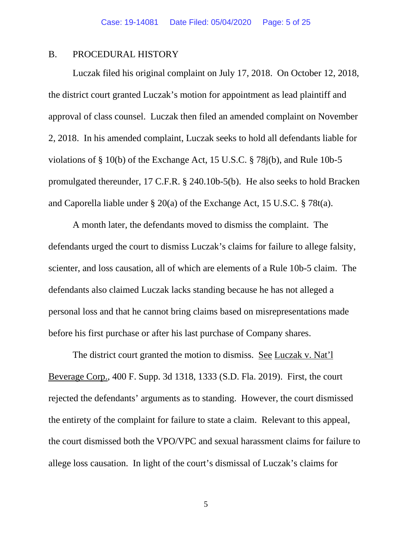#### B. PROCEDURAL HISTORY

Luczak filed his original complaint on July 17, 2018. On October 12, 2018, the district court granted Luczak's motion for appointment as lead plaintiff and approval of class counsel. Luczak then filed an amended complaint on November 2, 2018. In his amended complaint, Luczak seeks to hold all defendants liable for violations of § 10(b) of the Exchange Act, 15 U.S.C. § 78j(b), and Rule 10b-5 promulgated thereunder, 17 C.F.R. § 240.10b-5(b). He also seeks to hold Bracken and Caporella liable under § 20(a) of the Exchange Act, 15 U.S.C. § 78t(a).

A month later, the defendants moved to dismiss the complaint. The defendants urged the court to dismiss Luczak's claims for failure to allege falsity, scienter, and loss causation, all of which are elements of a Rule 10b-5 claim. The defendants also claimed Luczak lacks standing because he has not alleged a personal loss and that he cannot bring claims based on misrepresentations made before his first purchase or after his last purchase of Company shares.

The district court granted the motion to dismiss. See Luczak v. Nat'l Beverage Corp., 400 F. Supp. 3d 1318, 1333 (S.D. Fla. 2019). First, the court rejected the defendants' arguments as to standing. However, the court dismissed the entirety of the complaint for failure to state a claim. Relevant to this appeal, the court dismissed both the VPO/VPC and sexual harassment claims for failure to allege loss causation. In light of the court's dismissal of Luczak's claims for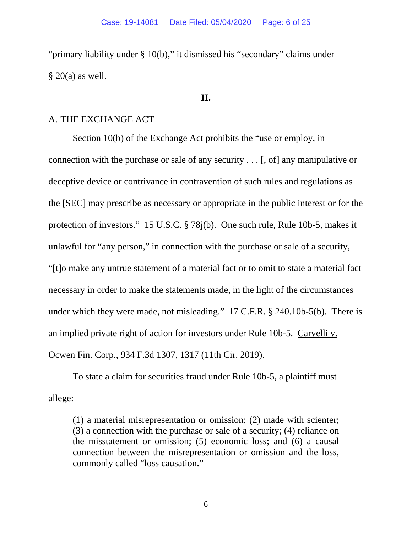"primary liability under § 10(b)," it dismissed his "secondary" claims under  $§$  20(a) as well.

#### **II.**

# A. THE EXCHANGE ACT

Section 10(b) of the Exchange Act prohibits the "use or employ, in connection with the purchase or sale of any security . . . [, of] any manipulative or deceptive device or contrivance in contravention of such rules and regulations as the [SEC] may prescribe as necessary or appropriate in the public interest or for the protection of investors." 15 U.S.C. § 78j(b). One such rule, Rule 10b-5, makes it unlawful for "any person," in connection with the purchase or sale of a security, "[t]o make any untrue statement of a material fact or to omit to state a material fact necessary in order to make the statements made, in the light of the circumstances under which they were made, not misleading." 17 C.F.R. § 240.10b-5(b). There is an implied private right of action for investors under Rule 10b-5. Carvelli v. Ocwen Fin. Corp., 934 F.3d 1307, 1317 (11th Cir. 2019).

To state a claim for securities fraud under Rule 10b-5, a plaintiff must allege:

(1) a material misrepresentation or omission; (2) made with scienter; (3) a connection with the purchase or sale of a security; (4) reliance on the misstatement or omission; (5) economic loss; and (6) a causal connection between the misrepresentation or omission and the loss, commonly called "loss causation."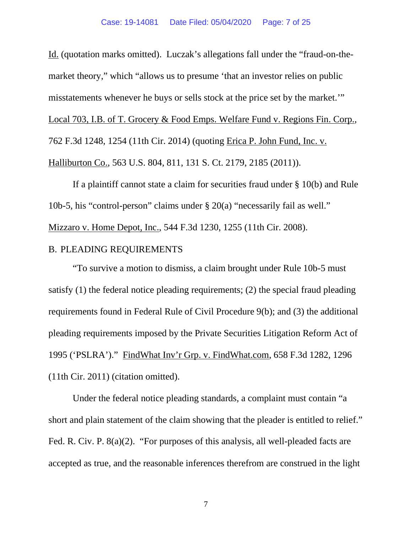Id. (quotation marks omitted). Luczak's allegations fall under the "fraud-on-themarket theory," which "allows us to presume 'that an investor relies on public misstatements whenever he buys or sells stock at the price set by the market.'" Local 703, I.B. of T. Grocery & Food Emps. Welfare Fund v. Regions Fin. Corp., 762 F.3d 1248, 1254 (11th Cir. 2014) (quoting Erica P. John Fund, Inc. v. Halliburton Co., 563 U.S. 804, 811, 131 S. Ct. 2179, 2185 (2011)).

If a plaintiff cannot state a claim for securities fraud under § 10(b) and Rule 10b-5, his "control-person" claims under § 20(a) "necessarily fail as well." Mizzaro v. Home Depot, Inc., 544 F.3d 1230, 1255 (11th Cir. 2008).

## B. PLEADING REQUIREMENTS

"To survive a motion to dismiss, a claim brought under Rule 10b-5 must satisfy (1) the federal notice pleading requirements; (2) the special fraud pleading requirements found in Federal Rule of Civil Procedure 9(b); and (3) the additional pleading requirements imposed by the Private Securities Litigation Reform Act of 1995 ('PSLRA')." FindWhat Inv'r Grp. v. FindWhat.com, 658 F.3d 1282, 1296 (11th Cir. 2011) (citation omitted).

Under the federal notice pleading standards, a complaint must contain "a short and plain statement of the claim showing that the pleader is entitled to relief." Fed. R. Civ. P. 8(a)(2). "For purposes of this analysis, all well-pleaded facts are accepted as true, and the reasonable inferences therefrom are construed in the light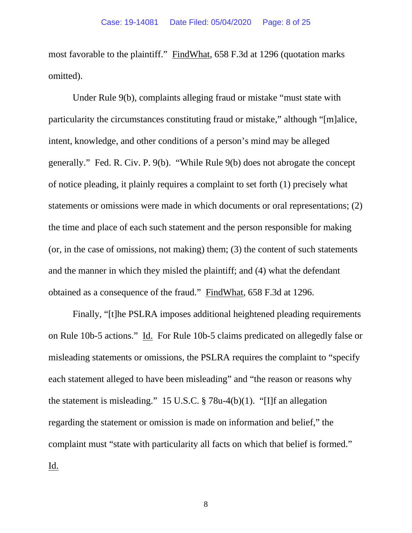most favorable to the plaintiff." FindWhat, 658 F.3d at 1296 (quotation marks omitted).

Under Rule 9(b), complaints alleging fraud or mistake "must state with particularity the circumstances constituting fraud or mistake," although "[m]alice, intent, knowledge, and other conditions of a person's mind may be alleged generally." Fed. R. Civ. P. 9(b). "While Rule 9(b) does not abrogate the concept of notice pleading, it plainly requires a complaint to set forth (1) precisely what statements or omissions were made in which documents or oral representations; (2) the time and place of each such statement and the person responsible for making (or, in the case of omissions, not making) them; (3) the content of such statements and the manner in which they misled the plaintiff; and (4) what the defendant obtained as a consequence of the fraud." FindWhat, 658 F.3d at 1296.

Finally, "[t]he PSLRA imposes additional heightened pleading requirements on Rule 10b-5 actions." Id. For Rule 10b-5 claims predicated on allegedly false or misleading statements or omissions, the PSLRA requires the complaint to "specify each statement alleged to have been misleading" and "the reason or reasons why the statement is misleading." 15 U.S.C. § 78u-4(b)(1). "[I]f an allegation regarding the statement or omission is made on information and belief," the complaint must "state with particularity all facts on which that belief is formed." Id.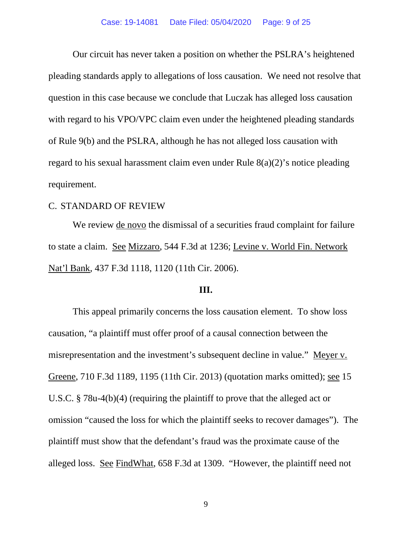Our circuit has never taken a position on whether the PSLRA's heightened pleading standards apply to allegations of loss causation. We need not resolve that question in this case because we conclude that Luczak has alleged loss causation with regard to his VPO/VPC claim even under the heightened pleading standards of Rule 9(b) and the PSLRA, although he has not alleged loss causation with regard to his sexual harassment claim even under Rule 8(a)(2)'s notice pleading requirement.

#### C. STANDARD OF REVIEW

We review de novo the dismissal of a securities fraud complaint for failure to state a claim. See Mizzaro, 544 F.3d at 1236; Levine v. World Fin. Network Nat'l Bank, 437 F.3d 1118, 1120 (11th Cir. 2006).

#### **III.**

This appeal primarily concerns the loss causation element. To show loss causation, "a plaintiff must offer proof of a causal connection between the misrepresentation and the investment's subsequent decline in value." Meyer v. Greene, 710 F.3d 1189, 1195 (11th Cir. 2013) (quotation marks omitted); see 15 U.S.C. § 78u-4(b)(4) (requiring the plaintiff to prove that the alleged act or omission "caused the loss for which the plaintiff seeks to recover damages"). The plaintiff must show that the defendant's fraud was the proximate cause of the alleged loss. See FindWhat, 658 F.3d at 1309. "However, the plaintiff need not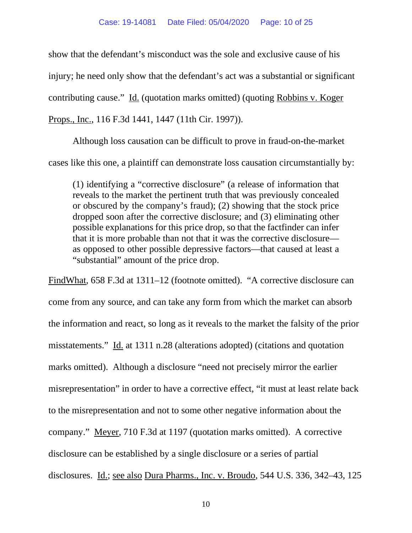show that the defendant's misconduct was the sole and exclusive cause of his injury; he need only show that the defendant's act was a substantial or significant contributing cause." Id. (quotation marks omitted) (quoting Robbins v. Koger Props., Inc., 116 F.3d 1441, 1447 (11th Cir. 1997)).

Although loss causation can be difficult to prove in fraud-on-the-market cases like this one, a plaintiff can demonstrate loss causation circumstantially by:

(1) identifying a "corrective disclosure" (a release of information that reveals to the market the pertinent truth that was previously concealed or obscured by the company's fraud); (2) showing that the stock price dropped soon after the corrective disclosure; and (3) eliminating other possible explanations for this price drop, so that the factfinder can infer that it is more probable than not that it was the corrective disclosure as opposed to other possible depressive factors—that caused at least a "substantial" amount of the price drop.

FindWhat, 658 F.3d at 1311–12 (footnote omitted). "A corrective disclosure can come from any source, and can take any form from which the market can absorb the information and react, so long as it reveals to the market the falsity of the prior misstatements." Id. at 1311 n.28 (alterations adopted) (citations and quotation marks omitted). Although a disclosure "need not precisely mirror the earlier misrepresentation" in order to have a corrective effect, "it must at least relate back to the misrepresentation and not to some other negative information about the company." Meyer, 710 F.3d at 1197 (quotation marks omitted). A corrective disclosure can be established by a single disclosure or a series of partial disclosures. Id.; see also Dura Pharms., Inc. v. Broudo, 544 U.S. 336, 342–43, 125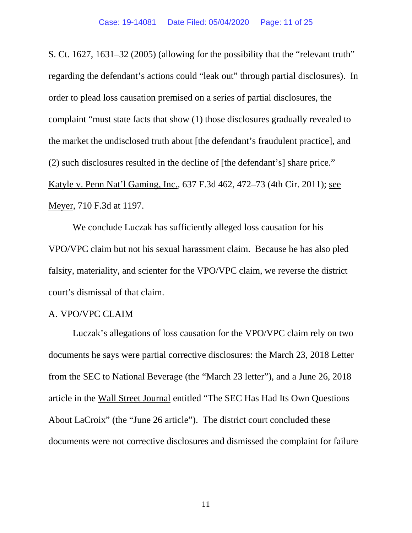S. Ct. 1627, 1631–32 (2005) (allowing for the possibility that the "relevant truth" regarding the defendant's actions could "leak out" through partial disclosures). In order to plead loss causation premised on a series of partial disclosures, the complaint "must state facts that show (1) those disclosures gradually revealed to the market the undisclosed truth about [the defendant's fraudulent practice], and (2) such disclosures resulted in the decline of [the defendant's] share price." Katyle v. Penn Nat'l Gaming, Inc., 637 F.3d 462, 472–73 (4th Cir. 2011); see Meyer, 710 F.3d at 1197.

We conclude Luczak has sufficiently alleged loss causation for his VPO/VPC claim but not his sexual harassment claim. Because he has also pled falsity, materiality, and scienter for the VPO/VPC claim, we reverse the district court's dismissal of that claim.

# A. VPO/VPC CLAIM

Luczak's allegations of loss causation for the VPO/VPC claim rely on two documents he says were partial corrective disclosures: the March 23, 2018 Letter from the SEC to National Beverage (the "March 23 letter"), and a June 26, 2018 article in the Wall Street Journal entitled "The SEC Has Had Its Own Questions About LaCroix" (the "June 26 article"). The district court concluded these documents were not corrective disclosures and dismissed the complaint for failure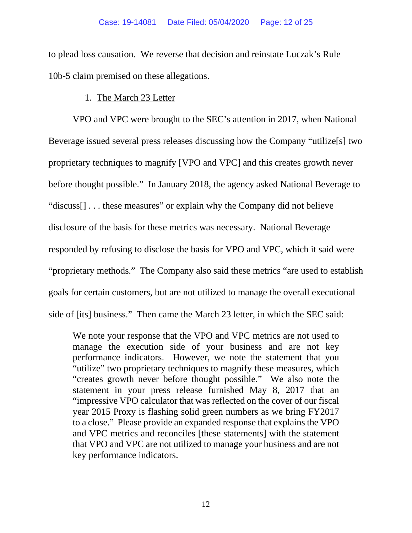to plead loss causation. We reverse that decision and reinstate Luczak's Rule 10b-5 claim premised on these allegations.

# 1. The March 23 Letter

VPO and VPC were brought to the SEC's attention in 2017, when National Beverage issued several press releases discussing how the Company "utilize[s] two proprietary techniques to magnify [VPO and VPC] and this creates growth never before thought possible." In January 2018, the agency asked National Beverage to "discuss[] . . . these measures" or explain why the Company did not believe disclosure of the basis for these metrics was necessary. National Beverage responded by refusing to disclose the basis for VPO and VPC, which it said were "proprietary methods." The Company also said these metrics "are used to establish goals for certain customers, but are not utilized to manage the overall executional side of [its] business." Then came the March 23 letter, in which the SEC said:

We note your response that the VPO and VPC metrics are not used to manage the execution side of your business and are not key performance indicators. However, we note the statement that you "utilize" two proprietary techniques to magnify these measures, which "creates growth never before thought possible." We also note the statement in your press release furnished May 8, 2017 that an "impressive VPO calculator that was reflected on the cover of our fiscal year 2015 Proxy is flashing solid green numbers as we bring FY2017 to a close." Please provide an expanded response that explains the VPO and VPC metrics and reconciles [these statements] with the statement that VPO and VPC are not utilized to manage your business and are not key performance indicators.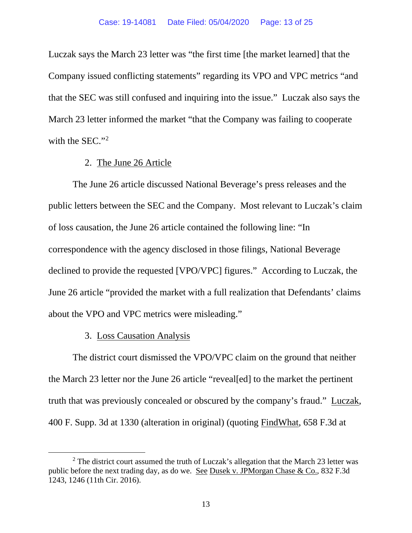Luczak says the March 23 letter was "the first time [the market learned] that the Company issued conflicting statements" regarding its VPO and VPC metrics "and that the SEC was still confused and inquiring into the issue." Luczak also says the March 23 letter informed the market "that the Company was failing to cooperate with the SEC."<sup>2</sup>

#### 2. The June 26 Article

The June 26 article discussed National Beverage's press releases and the public letters between the SEC and the Company. Most relevant to Luczak's claim of loss causation, the June 26 article contained the following line: "In correspondence with the agency disclosed in those filings, National Beverage declined to provide the requested [VPO/VPC] figures." According to Luczak, the June 26 article "provided the market with a full realization that Defendants' claims about the VPO and VPC metrics were misleading."

# 3. Loss Causation Analysis

The district court dismissed the VPO/VPC claim on the ground that neither the March 23 letter nor the June 26 article "reveal[ed] to the market the pertinent truth that was previously concealed or obscured by the company's fraud." Luczak, 400 F. Supp. 3d at 1330 (alteration in original) (quoting FindWhat, 658 F.3d at

 $2$  The district court assumed the truth of Luczak's allegation that the March 23 letter was public before the next trading day, as do we. See Dusek v. JPMorgan Chase & Co., 832 F.3d 1243, 1246 (11th Cir. 2016).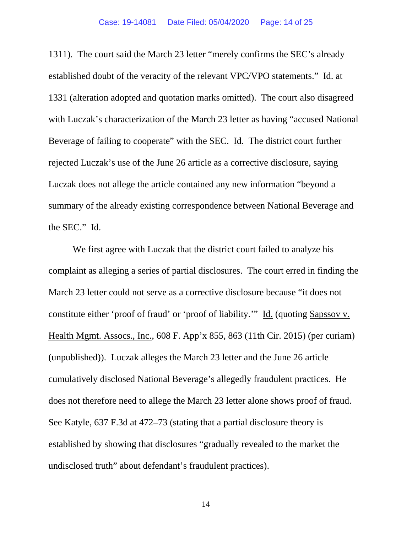1311). The court said the March 23 letter "merely confirms the SEC's already established doubt of the veracity of the relevant VPC/VPO statements." Id. at 1331 (alteration adopted and quotation marks omitted). The court also disagreed with Luczak's characterization of the March 23 letter as having "accused National Beverage of failing to cooperate" with the SEC. Id. The district court further rejected Luczak's use of the June 26 article as a corrective disclosure, saying Luczak does not allege the article contained any new information "beyond a summary of the already existing correspondence between National Beverage and the SEC." Id.

We first agree with Luczak that the district court failed to analyze his complaint as alleging a series of partial disclosures. The court erred in finding the March 23 letter could not serve as a corrective disclosure because "it does not constitute either 'proof of fraud' or 'proof of liability.'" Id. (quoting Sapssov v. Health Mgmt. Assocs., Inc., 608 F. App'x 855, 863 (11th Cir. 2015) (per curiam) (unpublished)). Luczak alleges the March 23 letter and the June 26 article cumulatively disclosed National Beverage's allegedly fraudulent practices. He does not therefore need to allege the March 23 letter alone shows proof of fraud. See Katyle, 637 F.3d at 472–73 (stating that a partial disclosure theory is established by showing that disclosures "gradually revealed to the market the undisclosed truth" about defendant's fraudulent practices).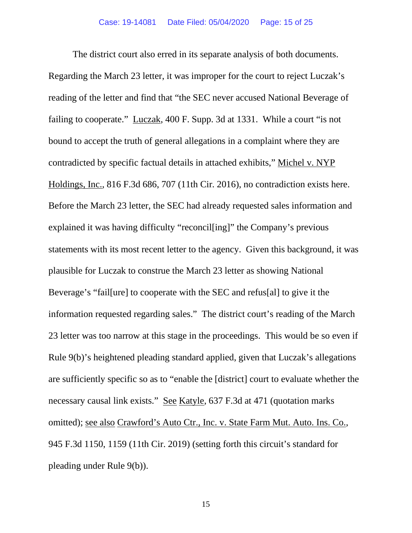The district court also erred in its separate analysis of both documents. Regarding the March 23 letter, it was improper for the court to reject Luczak's reading of the letter and find that "the SEC never accused National Beverage of failing to cooperate." Luczak, 400 F. Supp. 3d at 1331. While a court "is not bound to accept the truth of general allegations in a complaint where they are contradicted by specific factual details in attached exhibits," Michel v. NYP Holdings, Inc., 816 F.3d 686, 707 (11th Cir. 2016), no contradiction exists here. Before the March 23 letter, the SEC had already requested sales information and explained it was having difficulty "reconcil[ing]" the Company's previous statements with its most recent letter to the agency. Given this background, it was plausible for Luczak to construe the March 23 letter as showing National Beverage's "fail[ure] to cooperate with the SEC and refus[al] to give it the information requested regarding sales." The district court's reading of the March 23 letter was too narrow at this stage in the proceedings. This would be so even if Rule 9(b)'s heightened pleading standard applied, given that Luczak's allegations are sufficiently specific so as to "enable the [district] court to evaluate whether the necessary causal link exists." See Katyle, 637 F.3d at 471 (quotation marks omitted); see also Crawford's Auto Ctr., Inc. v. State Farm Mut. Auto. Ins. Co., 945 F.3d 1150, 1159 (11th Cir. 2019) (setting forth this circuit's standard for pleading under Rule 9(b)).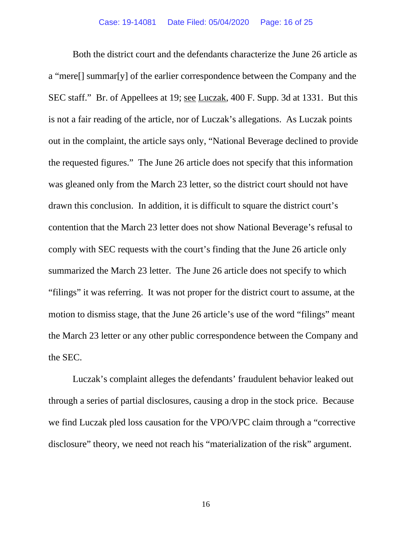Both the district court and the defendants characterize the June 26 article as a "mere[] summar[y] of the earlier correspondence between the Company and the SEC staff." Br. of Appellees at 19; see Luczak, 400 F. Supp. 3d at 1331. But this is not a fair reading of the article, nor of Luczak's allegations. As Luczak points out in the complaint, the article says only, "National Beverage declined to provide the requested figures." The June 26 article does not specify that this information was gleaned only from the March 23 letter, so the district court should not have drawn this conclusion. In addition, it is difficult to square the district court's contention that the March 23 letter does not show National Beverage's refusal to comply with SEC requests with the court's finding that the June 26 article only summarized the March 23 letter. The June 26 article does not specify to which "filings" it was referring. It was not proper for the district court to assume, at the motion to dismiss stage, that the June 26 article's use of the word "filings" meant the March 23 letter or any other public correspondence between the Company and the SEC.

Luczak's complaint alleges the defendants' fraudulent behavior leaked out through a series of partial disclosures, causing a drop in the stock price. Because we find Luczak pled loss causation for the VPO/VPC claim through a "corrective disclosure" theory, we need not reach his "materialization of the risk" argument.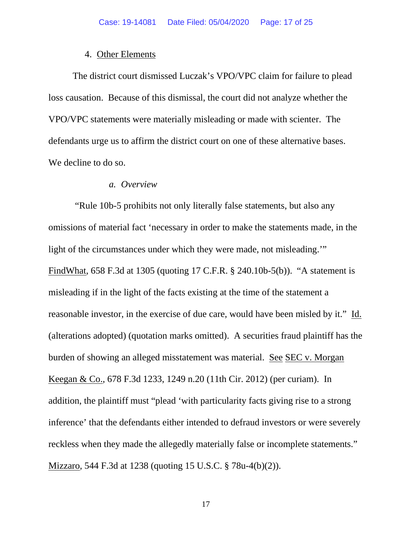#### 4. Other Elements

The district court dismissed Luczak's VPO/VPC claim for failure to plead loss causation. Because of this dismissal, the court did not analyze whether the VPO/VPC statements were materially misleading or made with scienter. The defendants urge us to affirm the district court on one of these alternative bases. We decline to do so.

#### *a. Overview*

"Rule 10b-5 prohibits not only literally false statements, but also any omissions of material fact 'necessary in order to make the statements made, in the light of the circumstances under which they were made, not misleading.'" FindWhat, 658 F.3d at 1305 (quoting 17 C.F.R. § 240.10b-5(b)). "A statement is misleading if in the light of the facts existing at the time of the statement a reasonable investor, in the exercise of due care, would have been misled by it." Id. (alterations adopted) (quotation marks omitted). A securities fraud plaintiff has the burden of showing an alleged misstatement was material. See SEC v. Morgan Keegan & Co., 678 F.3d 1233, 1249 n.20 (11th Cir. 2012) (per curiam). In addition, the plaintiff must "plead 'with particularity facts giving rise to a strong inference' that the defendants either intended to defraud investors or were severely reckless when they made the allegedly materially false or incomplete statements." Mizzaro, 544 F.3d at 1238 (quoting 15 U.S.C. § 78u-4(b)(2)).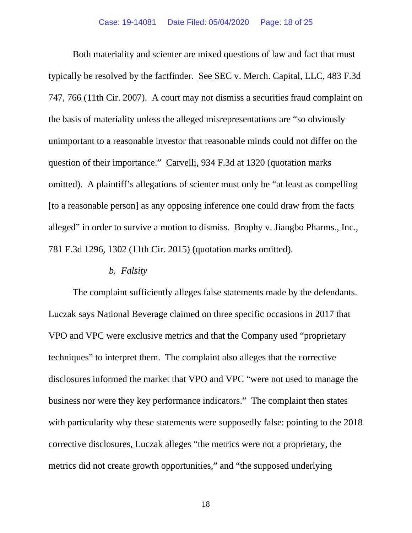Both materiality and scienter are mixed questions of law and fact that must typically be resolved by the factfinder. See SEC v. Merch. Capital, LLC, 483 F.3d 747, 766 (11th Cir. 2007). A court may not dismiss a securities fraud complaint on the basis of materiality unless the alleged misrepresentations are "so obviously unimportant to a reasonable investor that reasonable minds could not differ on the question of their importance." Carvelli, 934 F.3d at 1320 (quotation marks omitted). A plaintiff's allegations of scienter must only be "at least as compelling [to a reasonable person] as any opposing inference one could draw from the facts alleged" in order to survive a motion to dismiss. Brophy v. Jiangbo Pharms., Inc., 781 F.3d 1296, 1302 (11th Cir. 2015) (quotation marks omitted).

#### *b. Falsity*

The complaint sufficiently alleges false statements made by the defendants. Luczak says National Beverage claimed on three specific occasions in 2017 that VPO and VPC were exclusive metrics and that the Company used "proprietary techniques" to interpret them. The complaint also alleges that the corrective disclosures informed the market that VPO and VPC "were not used to manage the business nor were they key performance indicators." The complaint then states with particularity why these statements were supposedly false: pointing to the 2018 corrective disclosures, Luczak alleges "the metrics were not a proprietary, the metrics did not create growth opportunities," and "the supposed underlying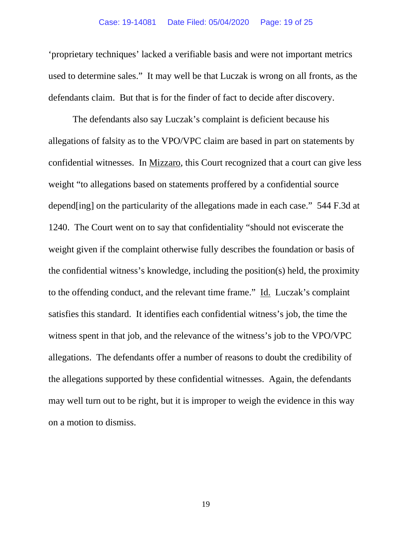'proprietary techniques' lacked a verifiable basis and were not important metrics used to determine sales." It may well be that Luczak is wrong on all fronts, as the defendants claim. But that is for the finder of fact to decide after discovery.

The defendants also say Luczak's complaint is deficient because his allegations of falsity as to the VPO/VPC claim are based in part on statements by confidential witnesses. In Mizzaro, this Court recognized that a court can give less weight "to allegations based on statements proffered by a confidential source depend[ing] on the particularity of the allegations made in each case." 544 F.3d at 1240. The Court went on to say that confidentiality "should not eviscerate the weight given if the complaint otherwise fully describes the foundation or basis of the confidential witness's knowledge, including the position(s) held, the proximity to the offending conduct, and the relevant time frame." Id. Luczak's complaint satisfies this standard. It identifies each confidential witness's job, the time the witness spent in that job, and the relevance of the witness's job to the VPO/VPC allegations. The defendants offer a number of reasons to doubt the credibility of the allegations supported by these confidential witnesses. Again, the defendants may well turn out to be right, but it is improper to weigh the evidence in this way on a motion to dismiss.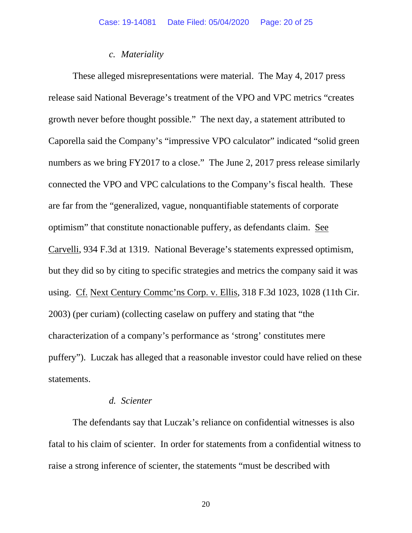#### *c. Materiality*

These alleged misrepresentations were material. The May 4, 2017 press release said National Beverage's treatment of the VPO and VPC metrics "creates growth never before thought possible." The next day, a statement attributed to Caporella said the Company's "impressive VPO calculator" indicated "solid green numbers as we bring FY2017 to a close." The June 2, 2017 press release similarly connected the VPO and VPC calculations to the Company's fiscal health. These are far from the "generalized, vague, nonquantifiable statements of corporate optimism" that constitute nonactionable puffery, as defendants claim. See Carvelli, 934 F.3d at 1319. National Beverage's statements expressed optimism, but they did so by citing to specific strategies and metrics the company said it was using. Cf. Next Century Commc'ns Corp. v. Ellis, 318 F.3d 1023, 1028 (11th Cir. 2003) (per curiam) (collecting caselaw on puffery and stating that "the characterization of a company's performance as 'strong' constitutes mere puffery"). Luczak has alleged that a reasonable investor could have relied on these statements.

# *d. Scienter*

The defendants say that Luczak's reliance on confidential witnesses is also fatal to his claim of scienter. In order for statements from a confidential witness to raise a strong inference of scienter, the statements "must be described with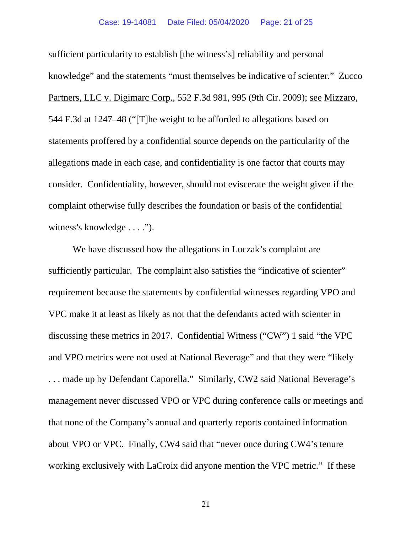sufficient particularity to establish [the witness's] reliability and personal knowledge" and the statements "must themselves be indicative of scienter." Zucco Partners, LLC v. Digimarc Corp., 552 F.3d 981, 995 (9th Cir. 2009); see Mizzaro, 544 F.3d at 1247–48 ("[T]he weight to be afforded to allegations based on statements proffered by a confidential source depends on the particularity of the allegations made in each case, and confidentiality is one factor that courts may consider. Confidentiality, however, should not eviscerate the weight given if the complaint otherwise fully describes the foundation or basis of the confidential witness's knowledge . . . .").

We have discussed how the allegations in Luczak's complaint are sufficiently particular. The complaint also satisfies the "indicative of scienter" requirement because the statements by confidential witnesses regarding VPO and VPC make it at least as likely as not that the defendants acted with scienter in discussing these metrics in 2017. Confidential Witness ("CW") 1 said "the VPC and VPO metrics were not used at National Beverage" and that they were "likely . . . made up by Defendant Caporella." Similarly, CW2 said National Beverage's management never discussed VPO or VPC during conference calls or meetings and that none of the Company's annual and quarterly reports contained information about VPO or VPC. Finally, CW4 said that "never once during CW4's tenure working exclusively with LaCroix did anyone mention the VPC metric." If these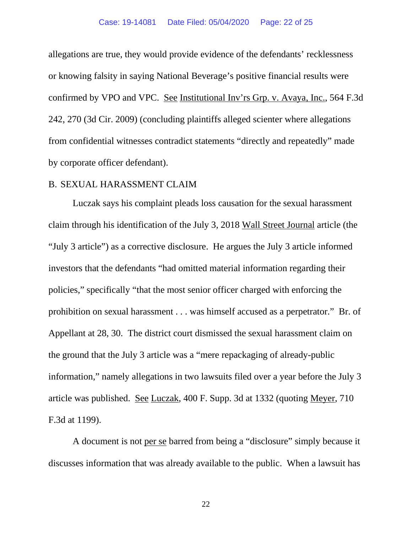allegations are true, they would provide evidence of the defendants' recklessness or knowing falsity in saying National Beverage's positive financial results were confirmed by VPO and VPC. See Institutional Inv'rs Grp. v. Avaya, Inc., 564 F.3d 242, 270 (3d Cir. 2009) (concluding plaintiffs alleged scienter where allegations from confidential witnesses contradict statements "directly and repeatedly" made by corporate officer defendant).

#### B. SEXUAL HARASSMENT CLAIM

Luczak says his complaint pleads loss causation for the sexual harassment claim through his identification of the July 3, 2018 Wall Street Journal article (the "July 3 article") as a corrective disclosure. He argues the July 3 article informed investors that the defendants "had omitted material information regarding their policies," specifically "that the most senior officer charged with enforcing the prohibition on sexual harassment . . . was himself accused as a perpetrator." Br. of Appellant at 28, 30. The district court dismissed the sexual harassment claim on the ground that the July 3 article was a "mere repackaging of already-public information," namely allegations in two lawsuits filed over a year before the July 3 article was published. See Luczak, 400 F. Supp. 3d at 1332 (quoting Meyer, 710 F.3d at 1199).

A document is not per se barred from being a "disclosure" simply because it discusses information that was already available to the public. When a lawsuit has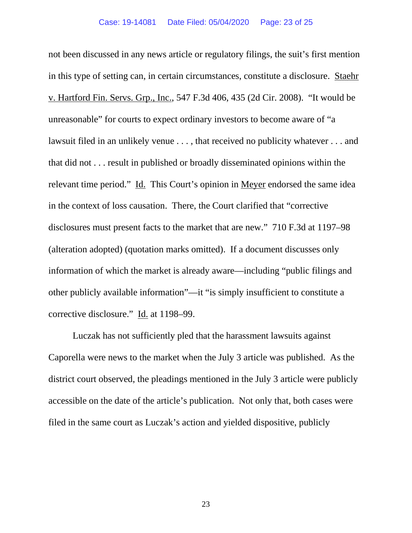not been discussed in any news article or regulatory filings, the suit's first mention in this type of setting can, in certain circumstances, constitute a disclosure. Staehr v. Hartford Fin. Servs. Grp., Inc., 547 F.3d 406, 435 (2d Cir. 2008). "It would be unreasonable" for courts to expect ordinary investors to become aware of "a lawsuit filed in an unlikely venue . . . , that received no publicity whatever . . . and that did not . . . result in published or broadly disseminated opinions within the relevant time period." Id. This Court's opinion in Meyer endorsed the same idea in the context of loss causation. There, the Court clarified that "corrective disclosures must present facts to the market that are new." 710 F.3d at 1197–98 (alteration adopted) (quotation marks omitted). If a document discusses only information of which the market is already aware—including "public filings and other publicly available information"—it "is simply insufficient to constitute a corrective disclosure." Id. at 1198–99.

Luczak has not sufficiently pled that the harassment lawsuits against Caporella were news to the market when the July 3 article was published. As the district court observed, the pleadings mentioned in the July 3 article were publicly accessible on the date of the article's publication. Not only that, both cases were filed in the same court as Luczak's action and yielded dispositive, publicly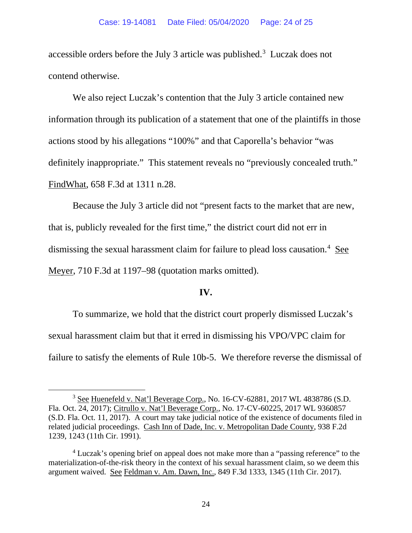accessible orders before the July 3 article was published.<sup>3</sup> Luczak does not contend otherwise.

We also reject Luczak's contention that the July 3 article contained new information through its publication of a statement that one of the plaintiffs in those actions stood by his allegations "100%" and that Caporella's behavior "was definitely inappropriate." This statement reveals no "previously concealed truth." FindWhat, 658 F.3d at 1311 n.28.

Because the July 3 article did not "present facts to the market that are new, that is, publicly revealed for the first time," the district court did not err in dismissing the sexual harassment claim for failure to plead loss causation.<sup>4</sup> See Meyer, 710 F.3d at 1197–98 (quotation marks omitted).

#### **IV.**

To summarize, we hold that the district court properly dismissed Luczak's sexual harassment claim but that it erred in dismissing his VPO/VPC claim for failure to satisfy the elements of Rule 10b-5. We therefore reverse the dismissal of

<sup>3</sup> See Huenefeld v. Nat'l Beverage Corp., No. 16-CV-62881, 2017 WL 4838786 (S.D. Fla. Oct. 24, 2017); Citrullo v. Nat'l Beverage Corp., No. 17-CV-60225, 2017 WL 9360857 (S.D. Fla. Oct. 11, 2017). A court may take judicial notice of the existence of documents filed in related judicial proceedings. Cash Inn of Dade, Inc. v. Metropolitan Dade County, 938 F.2d 1239, 1243 (11th Cir. 1991).

<sup>4</sup> Luczak's opening brief on appeal does not make more than a "passing reference" to the materialization-of-the-risk theory in the context of his sexual harassment claim, so we deem this argument waived. See Feldman v. Am. Dawn, Inc., 849 F.3d 1333, 1345 (11th Cir. 2017).